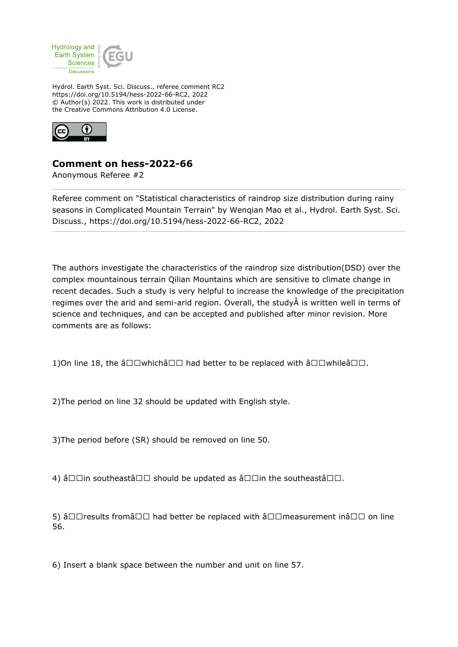

Hydrol. Earth Syst. Sci. Discuss., referee comment RC2 https://doi.org/10.5194/hess-2022-66-RC2, 2022 © Author(s) 2022. This work is distributed under the Creative Commons Attribution 4.0 License.



## **Comment on hess-2022-66**

Anonymous Referee #2

Referee comment on "Statistical characteristics of raindrop size distribution during rainy seasons in Complicated Mountain Terrain" by Wenqian Mao et al., Hydrol. Earth Syst. Sci. Discuss., https://doi.org/10.5194/hess-2022-66-RC2, 2022

The authors investigate the characteristics of the raindrop size distribution(DSD) over the complex mountainous terrain Qilian Mountains which are sensitive to climate change in recent decades. Such a study is very helpful to increase the knowledge of the precipitation regimes over the arid and semi-arid region. Overall, the study is written well in terms of science and techniques, and can be accepted and published after minor revision. More comments are as follows:

1)On line 18, the  $\hat{a} \Box \Box$ which $\hat{a} \Box \Box$  had better to be replaced with  $\hat{a} \Box \Box$ while $\hat{a} \Box \Box$ .

2)The period on line 32 should be updated with English style.

3)The period before (SR) should be removed on line 50.

4) â $\Box$   $\Box$  in southeastâ $\Box$  $\Box$  should be updated as â $\Box$   $\Box$  in the southeastâ $\Box$  $\Box$ .

5) â $\Box$  Tresults fromâ $\Box$  had better be replaced with â $\Box$  measurement inâ  $\Box$  on line 56.

6) Insert a blank space between the number and unit on line 57.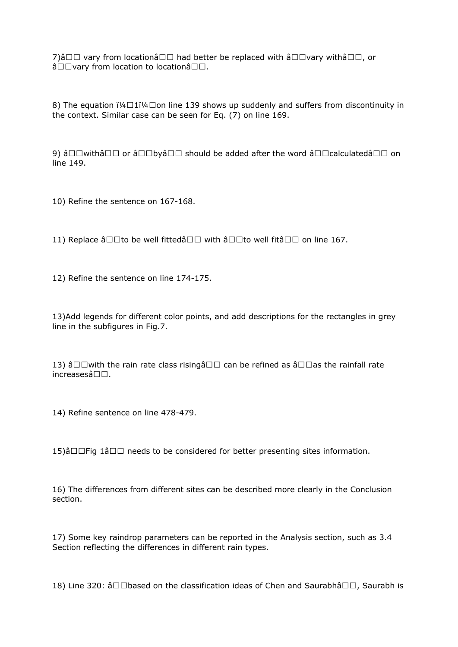7) $\hat{a}$  and vary from location $\hat{a}$  on had better be replaced with  $\hat{a}$  and  $\hat{a}$  or  $\hat{a}$  $\hat{a} \Box \Box$ vary from location to location $\hat{a} \Box \Box$ .

8) The equation  $i\frac{1}{4}\Box 1i\frac{1}{4}\Box$  on line 139 shows up suddenly and suffers from discontinuity in the context. Similar case can be seen for Eq. (7) on line 169.

9) â $\square$  withâ  $\square$  or â  $\square$  byâ  $\square$  should be added after the word â  $\square$   $\square$  calculatedâ  $\square$  on line 149.

10) Refine the sentence on 167-168.

11) Replace â $\Box$ Tho be well fittedâ $\Box$  with â $\Box$  $\Box$  to well fitâ  $\Box$  on line 167.

12) Refine the sentence on line 174-175.

13)Add legends for different color points, and add descriptions for the rectangles in grey line in the subfigures in Fig.7.

13) â $\Box$  with the rain rate class risingâ  $\Box$  can be refined as â $\Box$  as the rainfall rate  $increases$ â $\square$  $\square$ .

14) Refine sentence on line 478-479.

15) $\hat{a}\Box\Box$  Fig  $1\hat{a}\Box\Box$  needs to be considered for better presenting sites information.

16) The differences from different sites can be described more clearly in the Conclusion section.

17) Some key raindrop parameters can be reported in the Analysis section, such as 3.4 Section reflecting the differences in different rain types.

18) Line 320:  $\hat{a}\Box\Box b$ ased on the classification ideas of Chen and Saurabh $\hat{a}\Box\Box$ , Saurabh is